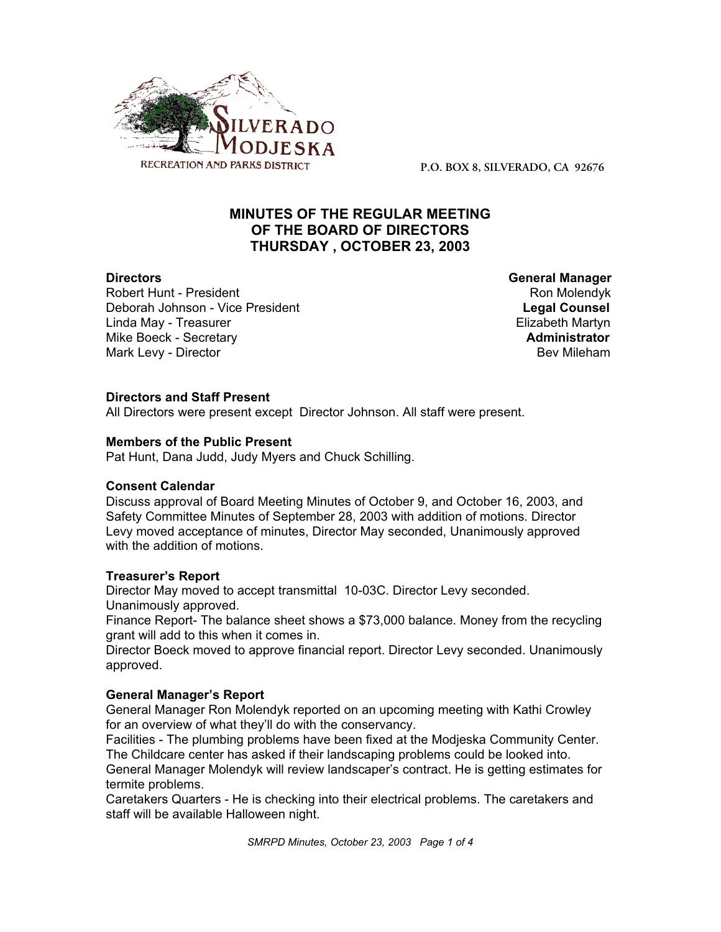

**P.O. BOX 8, SILVERADO, CA 92676**

# **MINUTES OF THE REGULAR MEETING OF THE BOARD OF DIRECTORS THURSDAY , OCTOBER 23, 2003**

Robert Hunt - President Robert Hunt - President Robert Hunt - President Ron Molendyk<br>Robert Alegal Counsel Robert Robert Robert Robert Robert Robert Robert Robert Robert Robert Robert Robert Robe<br>Robert Robert Robert Rober Deborah Johnson - Vice President Linda May - Treasurer Elizabeth Martyn<br>Mike Boeck - Secretary Elizabeth Martyn **Mike Boeck - Secretary** Mark Levy - Director **Bev Mileham Mark Levy - Director** Bev Mileham

**Directors General Manager**

# **Directors and Staff Present**

All Directors were present except Director Johnson. All staff were present.

# **Members of the Public Present**

Pat Hunt, Dana Judd, Judy Myers and Chuck Schilling.

# **Consent Calendar**

Discuss approval of Board Meeting Minutes of October 9, and October 16, 2003, and Safety Committee Minutes of September 28, 2003 with addition of motions. Director Levy moved acceptance of minutes, Director May seconded, Unanimously approved with the addition of motions.

# **Treasurer's Report**

Director May moved to accept transmittal 10-03C. Director Levy seconded. Unanimously approved.

Finance Report- The balance sheet shows a \$73,000 balance. Money from the recycling grant will add to this when it comes in.

Director Boeck moved to approve financial report. Director Levy seconded. Unanimously approved.

# **General Manager's Report**

General Manager Ron Molendyk reported on an upcoming meeting with Kathi Crowley for an overview of what they'll do with the conservancy.

Facilities - The plumbing problems have been fixed at the Modjeska Community Center. The Childcare center has asked if their landscaping problems could be looked into.

General Manager Molendyk will review landscaper's contract. He is getting estimates for termite problems.

Caretakers Quarters - He is checking into their electrical problems. The caretakers and staff will be available Halloween night.

*SMRPD Minutes, October 23, 2003 Page 1 of 4*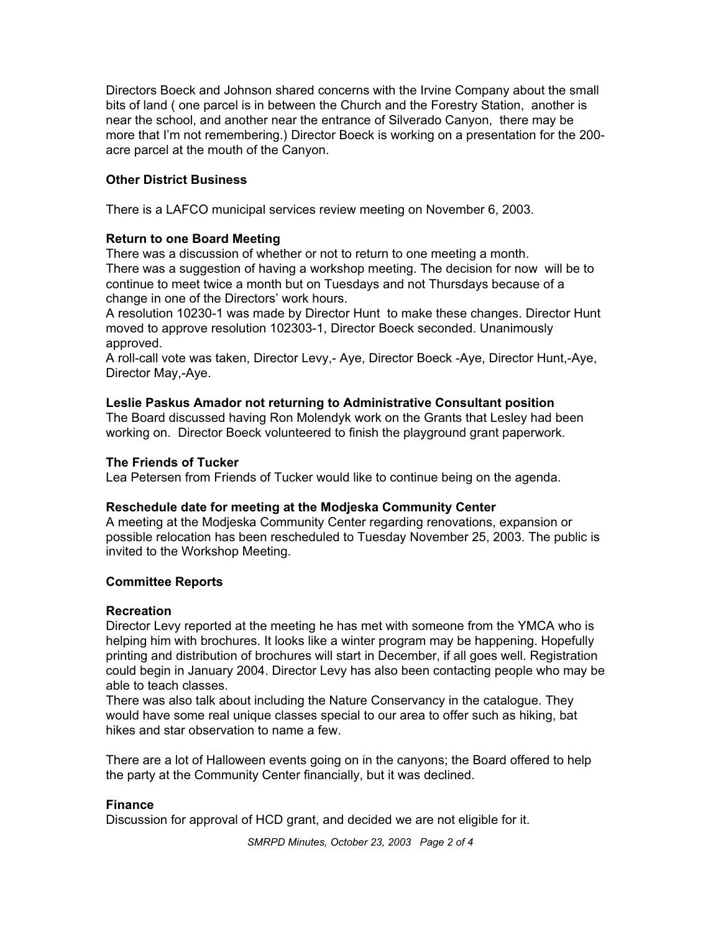Directors Boeck and Johnson shared concerns with the Irvine Company about the small bits of land ( one parcel is in between the Church and the Forestry Station, another is near the school, and another near the entrance of Silverado Canyon, there may be more that I'm not remembering.) Director Boeck is working on a presentation for the 200 acre parcel at the mouth of the Canyon.

# **Other District Business**

There is a LAFCO municipal services review meeting on November 6, 2003.

# **Return to one Board Meeting**

There was a discussion of whether or not to return to one meeting a month. There was a suggestion of having a workshop meeting. The decision for now will be to continue to meet twice a month but on Tuesdays and not Thursdays because of a change in one of the Directors' work hours.

A resolution 10230-1 was made by Director Hunt to make these changes. Director Hunt moved to approve resolution 102303-1, Director Boeck seconded. Unanimously approved.

A roll-call vote was taken, Director Levy,- Aye, Director Boeck -Aye, Director Hunt,-Aye, Director May,-Aye.

# **Leslie Paskus Amador not returning to Administrative Consultant position**

The Board discussed having Ron Molendyk work on the Grants that Lesley had been working on. Director Boeck volunteered to finish the playground grant paperwork.

# **The Friends of Tucker**

Lea Petersen from Friends of Tucker would like to continue being on the agenda.

# **Reschedule date for meeting at the Modjeska Community Center**

A meeting at the Modjeska Community Center regarding renovations, expansion or possible relocation has been rescheduled to Tuesday November 25, 2003. The public is invited to the Workshop Meeting.

# **Committee Reports**

# **Recreation**

Director Levy reported at the meeting he has met with someone from the YMCA who is helping him with brochures. It looks like a winter program may be happening. Hopefully printing and distribution of brochures will start in December, if all goes well. Registration could begin in January 2004. Director Levy has also been contacting people who may be able to teach classes.

There was also talk about including the Nature Conservancy in the catalogue. They would have some real unique classes special to our area to offer such as hiking, bat hikes and star observation to name a few.

There are a lot of Halloween events going on in the canyons; the Board offered to help the party at the Community Center financially, but it was declined.

# **Finance**

Discussion for approval of HCD grant, and decided we are not eligible for it.

*SMRPD Minutes, October 23, 2003 Page 2 of 4*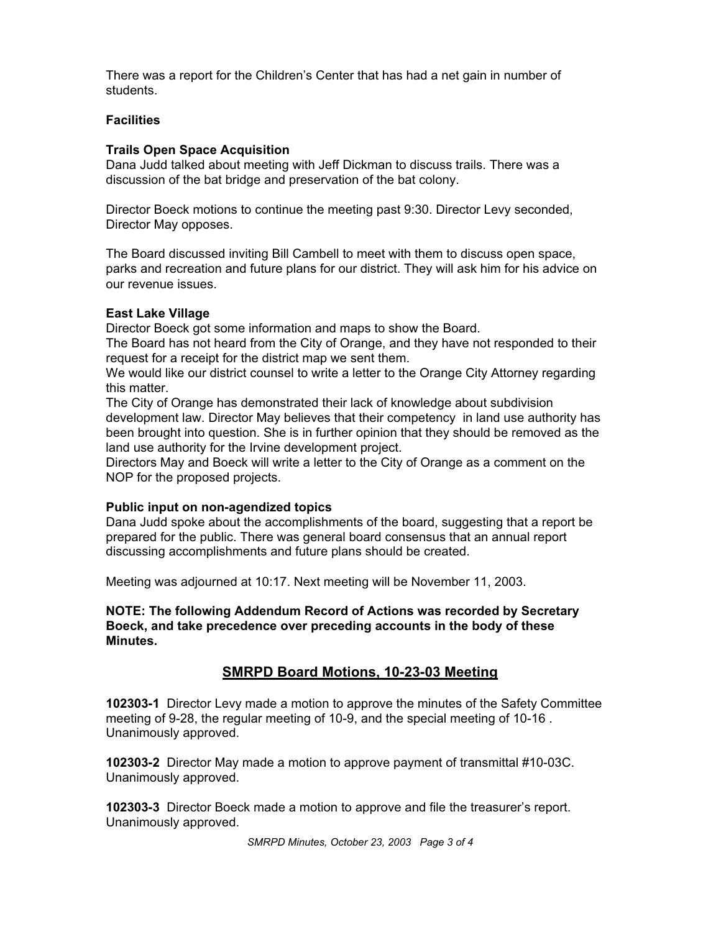There was a report for the Children's Center that has had a net gain in number of students.

# **Facilities**

# **Trails Open Space Acquisition**

Dana Judd talked about meeting with Jeff Dickman to discuss trails. There was a discussion of the bat bridge and preservation of the bat colony.

Director Boeck motions to continue the meeting past 9:30. Director Levy seconded, Director May opposes.

The Board discussed inviting Bill Cambell to meet with them to discuss open space, parks and recreation and future plans for our district. They will ask him for his advice on our revenue issues.

# **East Lake Village**

Director Boeck got some information and maps to show the Board.

The Board has not heard from the City of Orange, and they have not responded to their request for a receipt for the district map we sent them.

We would like our district counsel to write a letter to the Orange City Attorney regarding this matter.

The City of Orange has demonstrated their lack of knowledge about subdivision development law. Director May believes that their competency in land use authority has been brought into question. She is in further opinion that they should be removed as the land use authority for the Irvine development project.

Directors May and Boeck will write a letter to the City of Orange as a comment on the NOP for the proposed projects.

# **Public input on non-agendized topics**

Dana Judd spoke about the accomplishments of the board, suggesting that a report be prepared for the public. There was general board consensus that an annual report discussing accomplishments and future plans should be created.

Meeting was adjourned at 10:17. Next meeting will be November 11, 2003.

**NOTE: The following Addendum Record of Actions was recorded by Secretary Boeck, and take precedence over preceding accounts in the body of these Minutes.**

# **SMRPD Board Motions, 10-23-03 Meeting**

**102303-1** Director Levy made a motion to approve the minutes of the Safety Committee meeting of 9-28, the regular meeting of 10-9, and the special meeting of 10-16 . Unanimously approved.

**102303-2** Director May made a motion to approve payment of transmittal #10-03C. Unanimously approved.

**102303-3** Director Boeck made a motion to approve and file the treasurer's report. Unanimously approved.

*SMRPD Minutes, October 23, 2003 Page 3 of 4*